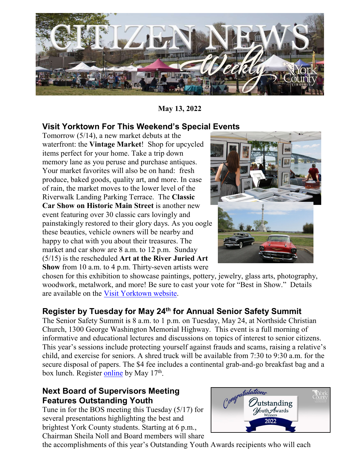

**May 13, 2022**

### **Visit Yorktown For This Weekend's Special Events**

Tomorrow (5/14), a new market debuts at the waterfront: the **Vintage Market**! Shop for upcycled items perfect for your home. Take a trip down memory lane as you peruse and purchase antiques. Your market favorites will also be on hand: fresh produce, baked goods, quality art, and more. In case of rain, the market moves to the lower level of the Riverwalk Landing Parking Terrace. The **Classic Car Show on Historic Main Street** is another new event featuring over 30 classic cars lovingly and painstakingly restored to their glory days. As you oogle these beauties, vehicle owners will be nearby and happy to chat with you about their treasures. The market and car show are 8 a.m. to 12 p.m. Sunday (5/15) is the rescheduled **Art at the River Juried Art Show** from 10 a.m. to 4 p.m. Thirty-seven artists were



chosen for this exhibition to showcase paintings, pottery, jewelry, glass arts, photography, woodwork, metalwork, and more! Be sure to cast your vote for "Best in Show." Details are available on the [Visit Yorktown website.](https://www.visityorktown.org/)

# **Register by Tuesday for May 24th for Annual Senior Safety Summit**

The Senior Safety Summit is 8 a.m. to 1 p.m. on Tuesday, May 24, at Northside Christian Church, 1300 George Washington Memorial Highway. This event is a full morning of informative and educational lectures and discussions on topics of interest to senior citizens. This year's sessions include protecting yourself against frauds and scams, raising a relative's child, and exercise for seniors. A shred truck will be available from 7:30 to 9:30 a.m. for the secure disposal of papers. The \$4 fee includes a continental grab-and-go breakfast bag and a box lunch. Register [online](https://recreation.yorkcounty.gov/wbwsc/webtrac.wsc/search.html?module=AR&type=Events) by May 17<sup>th</sup>.

#### **Next Board of Supervisors Meeting Features Outstanding Youth**

Tune in for the BOS meeting this Tuesday (5/17) for several presentations highlighting the best and brightest York County students. Starting at 6 p.m., Chairman Sheila Noll and Board members will share



the accomplishments of this year's Outstanding Youth Awards recipients who will each